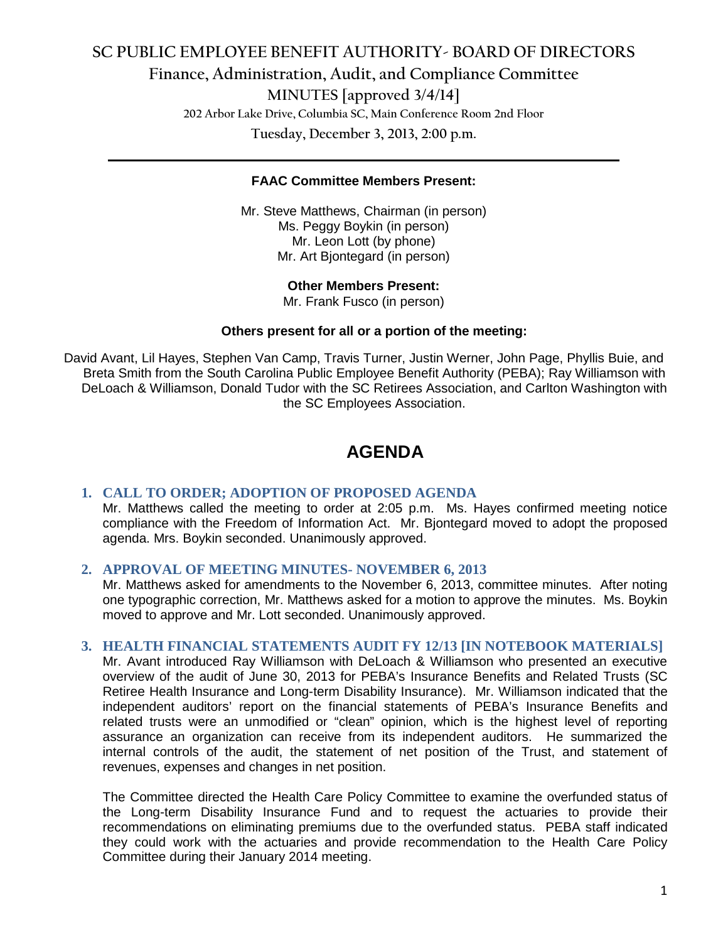# **SC PUBLIC EMPLOYEE BENEFIT AUTHORITY- BOARD OF DIRECTORS Finance, Administration, Audit, and Compliance Committee MINUTES [approved 3/4/14] 202 Arbor Lake Drive, Columbia SC, Main Conference Room 2nd Floor Tuesday, December 3, 2013, 2:00 p.m.**

#### **FAAC Committee Members Present:**

**\_\_\_\_\_\_\_\_\_\_\_\_\_\_\_\_\_\_\_\_\_\_\_\_\_\_\_\_\_\_\_\_\_\_\_\_\_\_\_\_\_\_\_\_\_\_\_\_\_\_\_\_\_\_\_\_\_\_\_\_\_\_\_\_\_\_\_\_\_\_\_\_**

Mr. Steve Matthews, Chairman (in person) Ms. Peggy Boykin (in person) Mr. Leon Lott (by phone) Mr. Art Bjontegard (in person)

#### **Other Members Present:**

Mr. Frank Fusco (in person)

#### **Others present for all or a portion of the meeting:**

David Avant, Lil Hayes, Stephen Van Camp, Travis Turner, Justin Werner, John Page, Phyllis Buie, and Breta Smith from the South Carolina Public Employee Benefit Authority (PEBA); Ray Williamson with DeLoach & Williamson, Donald Tudor with the SC Retirees Association, and Carlton Washington with the SC Employees Association.

# **AGENDA**

#### **1. CALL TO ORDER; ADOPTION OF PROPOSED AGENDA**

Mr. Matthews called the meeting to order at 2:05 p.m. Ms. Hayes confirmed meeting notice compliance with the Freedom of Information Act. Mr. Bjontegard moved to adopt the proposed agenda. Mrs. Boykin seconded. Unanimously approved.

#### **2. APPROVAL OF MEETING MINUTES- NOVEMBER 6, 2013**

Mr. Matthews asked for amendments to the November 6, 2013, committee minutes. After noting one typographic correction, Mr. Matthews asked for a motion to approve the minutes. Ms. Boykin moved to approve and Mr. Lott seconded. Unanimously approved.

#### **3. HEALTH FINANCIAL STATEMENTS AUDIT FY 12/13 [IN NOTEBOOK MATERIALS]**

Mr. Avant introduced Ray Williamson with DeLoach & Williamson who presented an executive overview of the audit of June 30, 2013 for PEBA's Insurance Benefits and Related Trusts (SC Retiree Health Insurance and Long-term Disability Insurance). Mr. Williamson indicated that the independent auditors' report on the financial statements of PEBA's Insurance Benefits and related trusts were an unmodified or "clean" opinion, which is the highest level of reporting assurance an organization can receive from its independent auditors. He summarized the internal controls of the audit, the statement of net position of the Trust, and statement of revenues, expenses and changes in net position.

The Committee directed the Health Care Policy Committee to examine the overfunded status of the Long-term Disability Insurance Fund and to request the actuaries to provide their recommendations on eliminating premiums due to the overfunded status. PEBA staff indicated they could work with the actuaries and provide recommendation to the Health Care Policy Committee during their January 2014 meeting.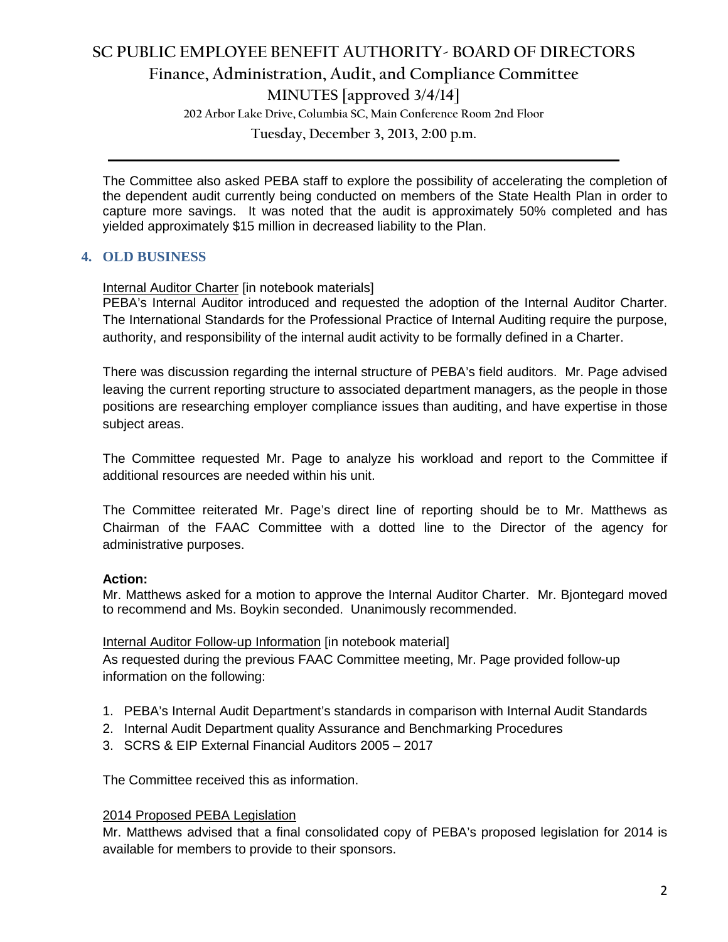# **SC PUBLIC EMPLOYEE BENEFIT AUTHORITY- BOARD OF DIRECTORS Finance, Administration, Audit, and Compliance Committee**

**MINUTES [approved 3/4/14]**

**202 Arbor Lake Drive, Columbia SC, Main Conference Room 2nd Floor**

**Tuesday, December 3, 2013, 2:00 p.m. \_\_\_\_\_\_\_\_\_\_\_\_\_\_\_\_\_\_\_\_\_\_\_\_\_\_\_\_\_\_\_\_\_\_\_\_\_\_\_\_\_\_\_\_\_\_\_\_\_\_\_\_\_\_\_\_\_\_\_\_\_\_\_\_\_\_\_\_\_\_\_\_**

The Committee also asked PEBA staff to explore the possibility of accelerating the completion of the dependent audit currently being conducted on members of the State Health Plan in order to capture more savings. It was noted that the audit is approximately 50% completed and has yielded approximately \$15 million in decreased liability to the Plan.

# **4. OLD BUSINESS**

## Internal Auditor Charter [in notebook materials]

PEBA's Internal Auditor introduced and requested the adoption of the Internal Auditor Charter. The International Standards for the Professional Practice of Internal Auditing require the purpose, authority, and responsibility of the internal audit activity to be formally defined in a Charter.

There was discussion regarding the internal structure of PEBA's field auditors. Mr. Page advised leaving the current reporting structure to associated department managers, as the people in those positions are researching employer compliance issues than auditing, and have expertise in those subject areas.

The Committee requested Mr. Page to analyze his workload and report to the Committee if additional resources are needed within his unit.

The Committee reiterated Mr. Page's direct line of reporting should be to Mr. Matthews as Chairman of the FAAC Committee with a dotted line to the Director of the agency for administrative purposes.

## **Action:**

Mr. Matthews asked for a motion to approve the Internal Auditor Charter. Mr. Bjontegard moved to recommend and Ms. Boykin seconded. Unanimously recommended.

# Internal Auditor Follow-up Information [in notebook material]

As requested during the previous FAAC Committee meeting, Mr. Page provided follow-up information on the following:

- 1. PEBA's Internal Audit Department's standards in comparison with Internal Audit Standards
- 2. Internal Audit Department quality Assurance and Benchmarking Procedures
- 3. SCRS & EIP External Financial Auditors 2005 2017

The Committee received this as information.

#### 2014 Proposed PEBA Legislation

Mr. Matthews advised that a final consolidated copy of PEBA's proposed legislation for 2014 is available for members to provide to their sponsors.